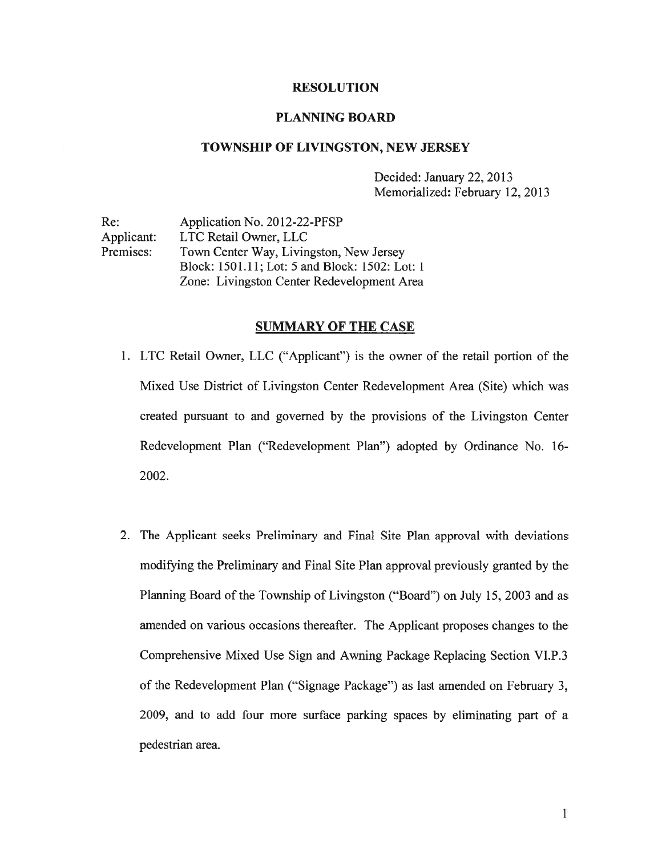## RESOLUTION

### PLANNING BOARD

### TOWNSHIP OF LIVINGSTON, NEW JERSEY

Decided: January 22, 2013 Memorialized: February 12, 2013

Re: Application No. 2012-22-PFSP Applicant: LTC Retail Owner, LLC Premises: Town Center Way, Livingston, New Jersey Block: 1501.11; Lot: 5 and Block: 1502: Lot: 1 Zone: Livingston Center Redevelopment Area

### SUMMARY OF THE CASE

- 1. LTC Retail Owner, LLC ("Applicant") is the owner of the retail portion of the Mixed Use District of Livingston Center Redevelopment Area (Site) which was created pursuan<sup>t</sup> to and governed by the provisions of the Livingston Center Redevelopment Plan ("Redevelopment Plan") adopted by Ordinance No. 16- 2002.
- 2. The Applicant seeks Preliminary and Final Site Plan approval with deviations modifying the Preliminary and Final Site Plan approval previously granted by the Planning Board of the Township of Livingston ("Board") on July 15, 2003 and as amended on various occasions thereafter. The Applicant proposes changes to the Comprehensive Mixed Use Sign and Awning Package Replacing Section VI.P.3 of the Redevelopment Plan ("Signage Package") as last amended on February 3, 2009, and to add four more surface parking spaces by eliminating par<sup>t</sup> of <sup>a</sup> pedestrian area.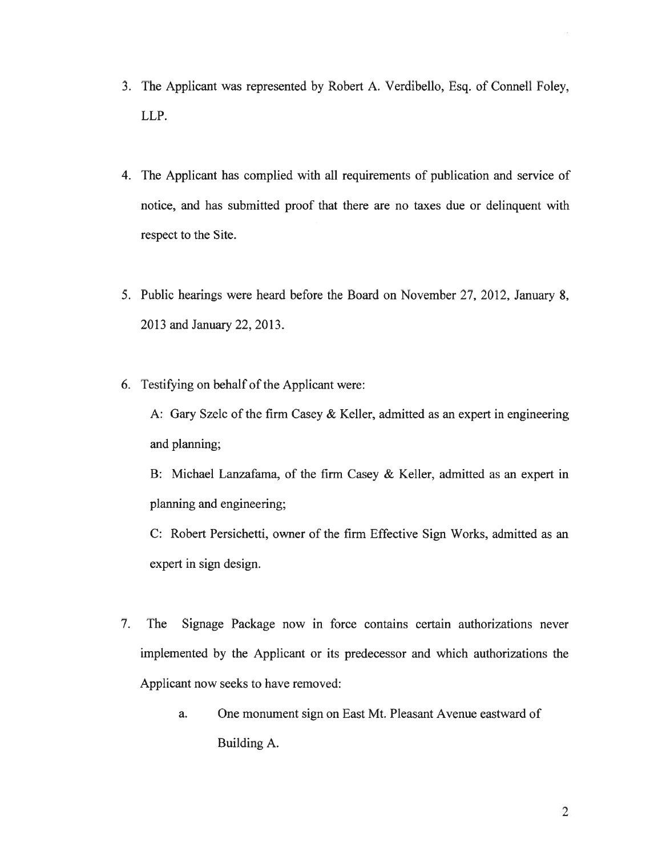- 3. The Applicant was represented by Robert A. Verdibello, Esq. of Connell Foley, LLP.
- 4. The Applicant has complied with all requirements of publication and service of notice, and has submitted proof that there are no taxes due or delinquent with respec<sup>t</sup> to the Site.
- 5. Public hearings were heard before the Board on November 27, 2012, January 8, 2013 and January 22, 2013.
- 6. Testifying on behalf of the Applicant were:

A: Gary Szelc of the firm Casey & Keller, admitted as an exper<sup>t</sup> in engineering and planning;

B: Michael Lanzafama, of the firm Casey & Keller, admitted as an exper<sup>t</sup> in planning and engineering;

C: Robert Persichetti, owner of the firm Effective Sign Works, admitted as an exper<sup>t</sup> in sign design.

- 7. The Signage Package now in force contains certain authorizations never implemented by the Applicant or its predecessor and which authorizations the Applicant now seeks to have removed:
	- a. One monument sign on East Mt. Pleasant Avenue eastward of Building A.

2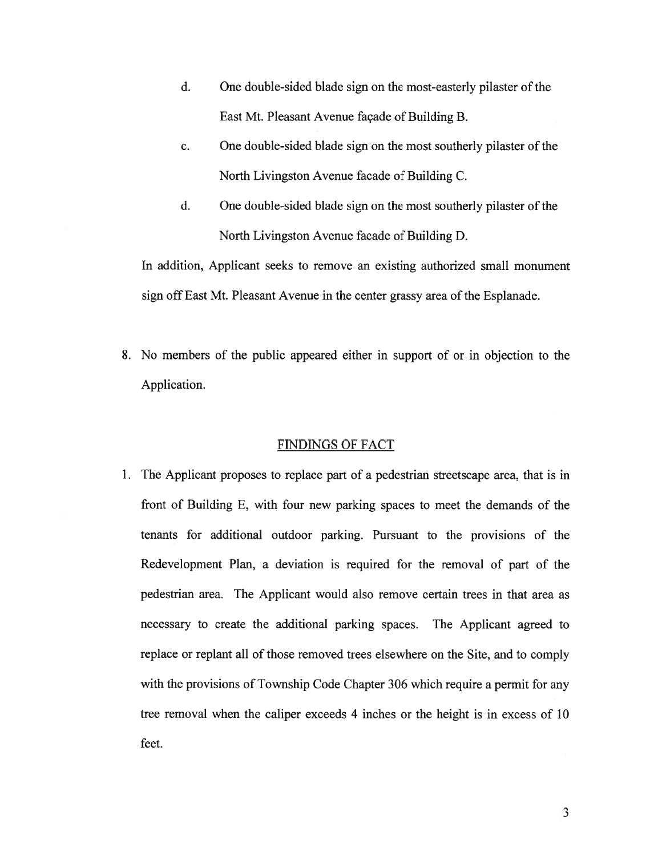- d. One double-sided blade sign on the most-easterly pilaster of the East Mt. Pleasant Avenue façade of Building B.
- c. One double-sided blade sign on the most southerly pilaster of the North Livingston Avenue facade of Building C.
- d. One double-sided blade sign on the most southerly pilaster of the North Livingston Avenue facade of Building D.

In addition, Applicant seeks to remove an existing authorized small monument sign off East Mt. Pleasant Avenue in the center grassy area of the Esplanade.

8. No members of the public appeared either in suppor<sup>t</sup> of or in objection to the Application.

## FINDINGS OF FACT

1. The Applicant proposes to replace par<sup>t</sup> of <sup>a</sup> pedestrian streetscape area, that is in front of Building E, with four new parking spaces to meet the demands of the tenants for additional outdoor parking. Pursuant to the provisions of the Redevelopment Plan, <sup>a</sup> deviation is required for the removal of par<sup>t</sup> of the pedestrian area. The Applicant would also remove certain trees in that area as necessary to create the additional parking spaces. The Applicant agreed to replace or replant all of those removed trees elsewhere on the Site, and to comply with the provisions of Township Code Chapter 306 which require <sup>a</sup> permit for any tree removal when the caliper exceeds 4 inches or the height is in excess of 10 feet.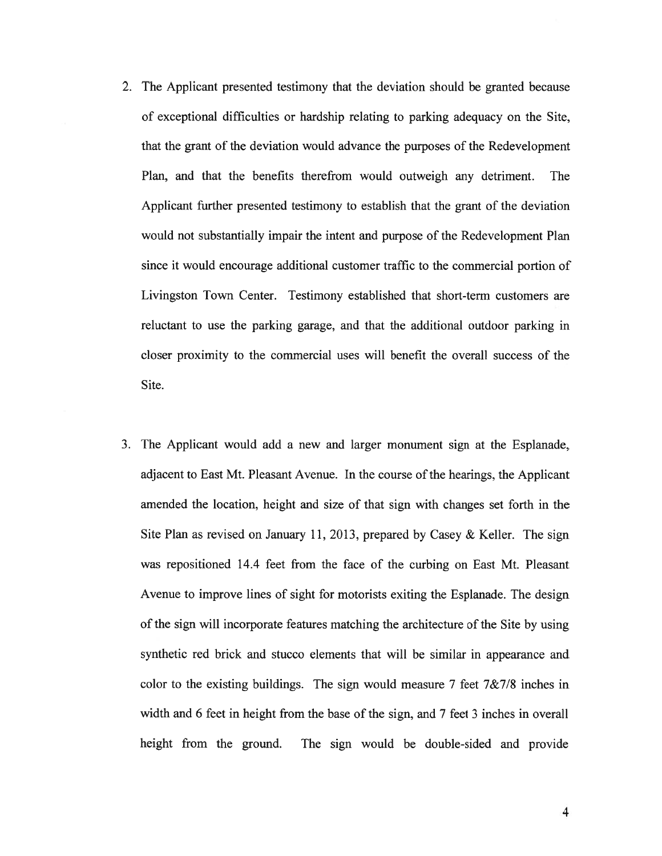- 2. The Applicant presented testimony that the deviation should be granted because of exceptional difficulties or hardship relating to parking adequacy on the Site, that the gran<sup>t</sup> of the deviation would advance the purposes of the Redevelopment Plan, and that the benefits therefrom would outweigh any detriment. The Applicant further presented testimony to establish that the gran<sup>t</sup> of the deviation would not substantially impair the intent and purpose of the Redevelopment Plan since it would encourage additional customer traffic to the commercial portion of Livingston Town Center. Testimony established that short-term customers are reluctant to use the parking garage, and that the additional outdoor parking in closer proximity to the commercial uses will benefit the overall success of the Site.
- 3. The Applicant would add <sup>a</sup> new and larger monument sign at the Esplanade, adjacent to East Mt. Pleasant Avenue. In the course of the hearings, the Applicant amended the location, height and size of that sign with changes set forth in the Site Plan as revised on January 11, 2013, prepared by Casey & Keller. The sign was repositioned 14.4 feet from the face of the curbing on East Mt. Pleasant Avenue to improve lines of sight for motorists exiting the Esplanade. The design of the sign will incorporate features matching the architecture of the Site by using synthetic red brick and stucco elements that will be similar in appearance and color to the existing buildings. The sign would measure 7 feet  $7\& 7/8$  inches in width and <sup>6</sup> feet in height from the base of the sign, and <sup>7</sup> feet 3 inches in overall height from the ground. The sign would be double-sided and provide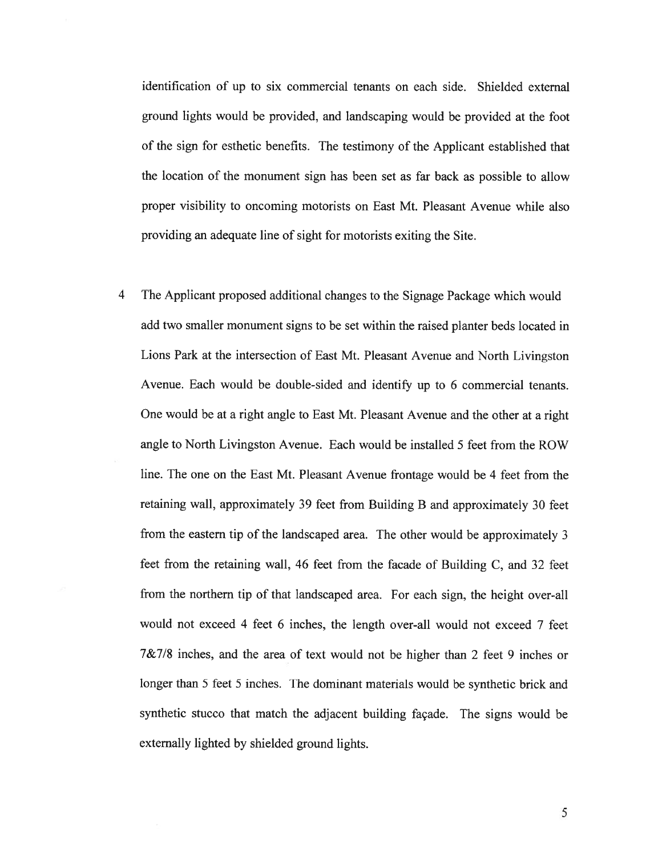identification of up to six commercial tenants on each side. Shielded external ground lights would be provided, and landscaping would be provided at the foot of the sign for esthetic benefits. The testimony of the Applicant established that the location of the monument sign has been set as far back as possible to allow proper visibility to oncoming motorists on East Mt. Pleasant Avenue while also providing an adequate line of sight for motorists exiting the Site.

<sup>4</sup> The Applicant proposed additional changes to the Signage Package which would add two smaller monument signs to be set within the raised planter beds located in Lions Park at the intersection of East Mt. Pleasant Avenue and North Livingston Avenue. Each would be double-sided and identify up to 6 commercial tenants. One would be at <sup>a</sup> right angle to East Mt. Pleasant Avenue and the other at <sup>a</sup> right angle to North Livingston Avenue. Each would be installed 5 feet from the ROW line. The one on the East Mt. Pleasant Avenue frontage would be <sup>4</sup> feet from the retaining wall, approximately 39 feet from Building <sup>B</sup> and approximately <sup>30</sup> feet from the eastern tip of the landscaped area. The other would be approximately 3 feet from the retaining wall, 46 feet from the facade of Building C, and 32 feet from the northern tip of that landscaped area. For each sign, the height over-all would not exceed 4 feet 6 inches. the length over-all would not exceed 7 feet 7&7/8 inches, and the area of text would not be higher than 2 feet 9 inches or longer than 5 feet 5 inches. The dominant materials would be synthetic brick and synthetic stucco that match the adjacent building façade. The signs would be externally lighted by shielded ground lights.

5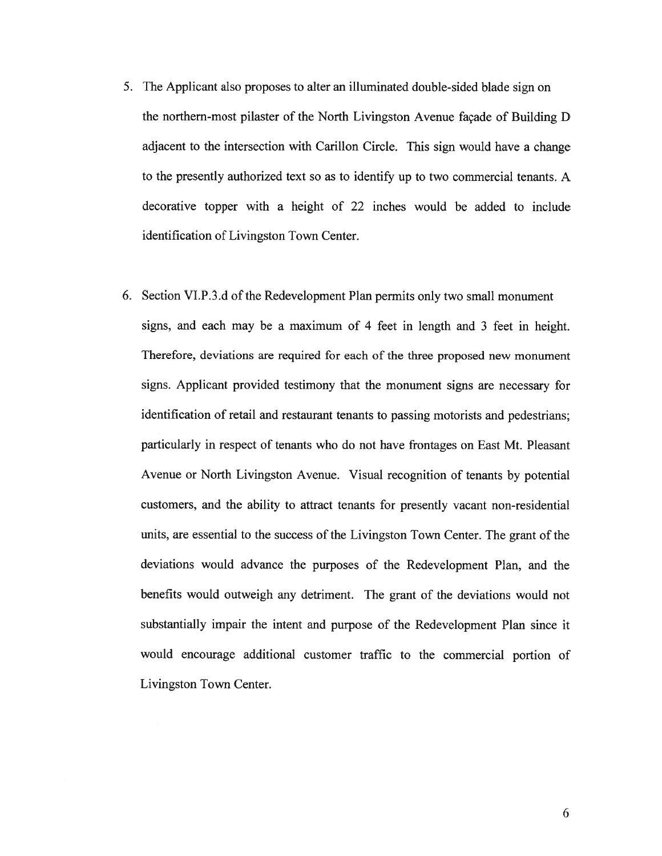- 5. The Applicant also proposes to alter an illuminated double-sided blade sign on the northern-most pilaster of the North Livingston Avenue façade of Building <sup>D</sup> adjacent to the intersection with Carillon Circle. This sign would have <sup>a</sup> change to the presently authorized text so as to identify up to two commercial tenants. A decorative topper with <sup>a</sup> height of 22 inches would be added to include identification of Livingston Town Center.
- 6. Section VI.P.3.d of the Redevelopment Plan permits only two small monument signs, and each may be <sup>a</sup> maximum of 4 feet in length and 3 feet in height. Therefore, deviations are required for each of the three proposed new monument signs. Applicant provided testimony that the monument signs are necessary for identification of retail and restaurant tenants to passing motorists and pedestrians; particularly in respec<sup>t</sup> of tenants who do not have frontages on East Mt. Pleasant Avenue or North Livingston Avenue. Visual recognition of tenants by potential customers, and the ability to attract tenants for presently vacant non-residential units, are essential to the success of the Livingston Town Center. The gran<sup>t</sup> of the deviations would advance the purposes of the Redevelopment Plan, and the benefits would outweigh any detriment. The gran<sup>t</sup> of the deviations would not substantially impair the intent and purpose of the Redevelopment Plan since it would encourage additional customer traffic to the commercial portion of Livingston Town Center.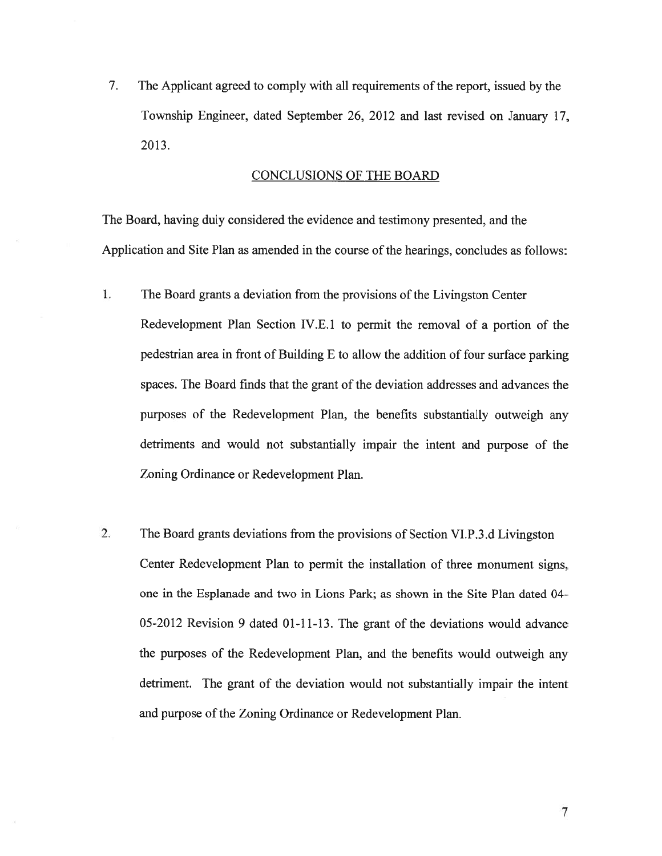7. The Applicant agreed to comply with all requirements of the report, issued by the Township Engineer, dated September 26, 2012 and last revised on January 17, 2013.

# CONCLUSIONS OF THE BOARD

The Board, having duly considered the evidence and testimony presented, and the Application and Site Plan as amended in the course of the hearings, concludes as follows:

- 1. The Board grants <sup>a</sup> deviation from the provisions of the Livingston Center Redevelopment Plan Section IV.E. 1 to permit the removal of <sup>a</sup> portion of the pedestrian area in front of Building <sup>E</sup> to allow the addition of four surface parking spaces. The Board finds that the gran<sup>t</sup> of the deviation addresses and advances the purposes of the Redevelopment Plan, the benefits substantially outweigh any detriments and would not substantially impair the intent and purpose of the Zoning Ordinance or Redevelopment Plan.
- 2. The Board grants deviations from the provisions of Section VI.P.3.d Livingston Center Redevelopment Plan to permit the installation of three monument signs, one in the Esplanade and two in Lions Park; as shown in the Site Plan dated 04- 05-2012 Revision 9 dated 01-11-13. The gran<sup>t</sup> of the deviations would advance the purposes of the Redevelopment Plan, and the benefits would outweigh any detriment. The gran<sup>t</sup> of the deviation would not substantially impair the intent and purpose of the Zoning Ordinance or Redevelopment Plan.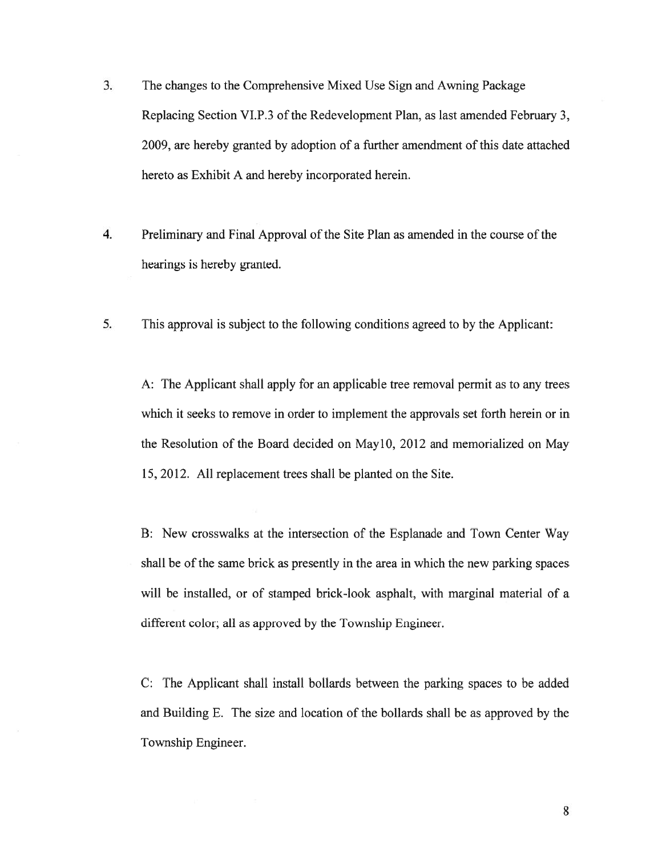- 3. The changes to the Comprehensive Mixed Use Sign and Awning Package Replacing Section VI.P.3 of the Redevelopment Plan, as last amended February 3. 2009, are hereby granted by adoption of <sup>a</sup> further amendment of this date attached hereto as Exhibit A and hereby incorporated herein.
- 4. Preliminary and Final Approval of the Site Plan as amended in the course of the hearings is hereby granted.
- 5. This approval is subject to the following conditions agreed to by the Applicant:

A: The Applicant shall apply for an applicable tree removal permit as to any trees which it seeks to remove in order to implement the approvals set forth herein or in the Resolution of the Board decided on May10, 2012 and memorialized on May 15, 2012. All replacement trees shall be planted on the Site.

B: New crosswalks at the intersection of the Esplanade and Town Center Way shall be of the same brick as presently in the area in which the new parking spaces will be installed, or of stamped brick-look asphalt, with marginal material of <sup>a</sup> different color; all as approved by the Township Engineer.

C: The Applicant shall install bollards between the parking spaces to be added and Building E. The size and location of the bollards shall be as approved by the Township Engineer.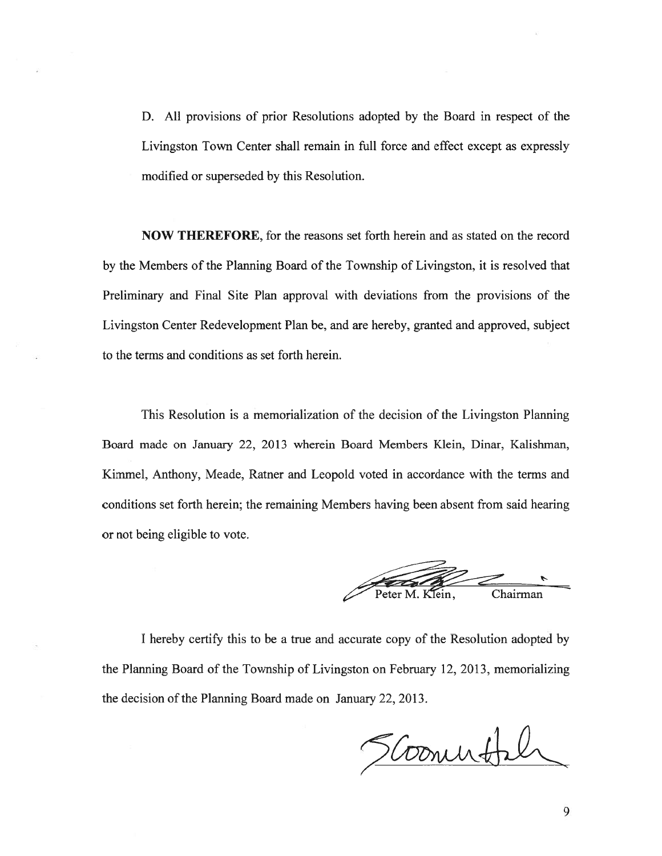D. All provisions of prior Resolutions adopted by the Board in respec<sup>t</sup> of the Livingston Town Center shall remain in full force and effect excep<sup>t</sup> as expressly modified or superseded by this Resolution.

NOW THEREFORE, for the reasons set forth herein and as stated on the record by the Members of the Planning Board of the Township of Livingston, it is resolved that Preliminary and Final Site Plan approval with deviations from the provisions of the Livingston Center Redevelopment Plan be, and are hereby, granted and approved, subject to the terms and conditions as set forth herein.

This Resolution is <sup>a</sup> memorialization of the decision of the Livingston Planning Board made on January 22, 2013 wherein Board Members Klein, Dinar, Kalishman, Kimmel, Anthony, Meade, Ratner and Leopold voted in accordance with the terms and conditions set forth herein; the remaining Members having been absent from said hearing or not being eligible to vote.

Peter M. Klein, Chairman

I hereby certify this to be <sup>a</sup> true and accurate copy of the Resolution adopted by the Planning Board of the Township of Livingston on February 12, 2013, memorializing the decision of the Planning Board made on January 22, 2013.

Scommotil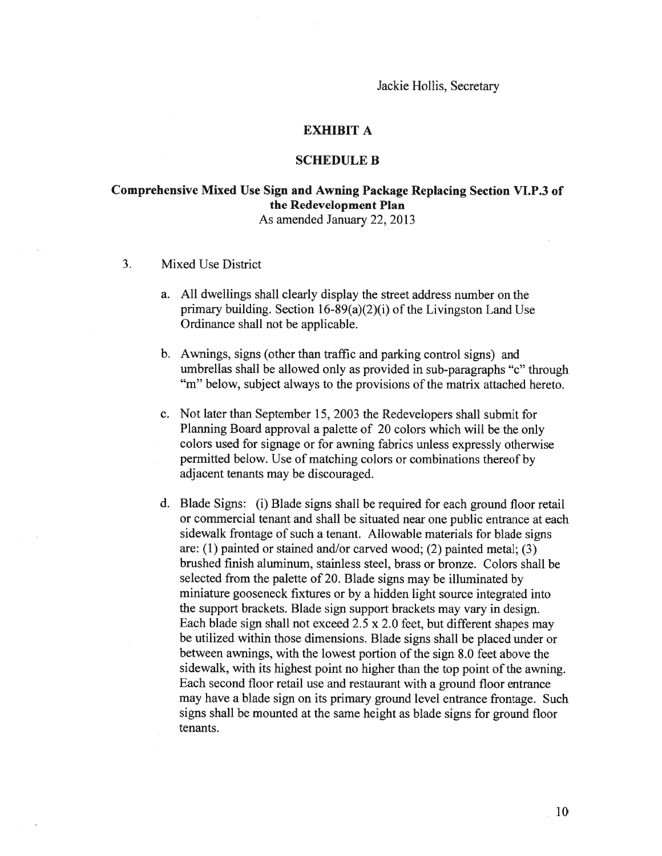# EXHIBIT A

# SCHEDULE B

# Comprehensive Mixed Use Sign and Awning Package Replacing Section VI.P.3 of the Redevelopment Plan As amended January 22, 2013

- 3. Mixed Use District
	- a. All dwellings shall clearly display the street address number on the primary building. Section  $16-89(a)(2)(i)$  of the Livingston Land Use Ordinance shall not be applicable.
	- b. Awnings, signs (other than traffic and parking control signs) and umbrellas shall be allowed only as provided in sub-paragraphs "c" through "m" below, subject always to the provisions of the matrix attached hereto.
	- c. Not later than September 15, 2003 the Redevelopers shall submit for Planning Board approva<sup>l</sup> <sup>a</sup> palette of 20 colors which will be the only colors used for signage or for awning fabrics unless expressly otherwise permitted below. Use of matching colors or combinations thereof by adjacent tenants may be discouraged.
	- d. Blade Signs: (1) Blade signs shall be required for each ground floor retail or commercial tenant and shall be situated near one public entrance at each sidewalk frontage of such <sup>a</sup> tenant. Allowable materials for blade signs are: (1) painted or stained and/or carved wood; (2) painted metal; (3) brushed finish aluminum, stainless steel, brass or bronze. Colors shall be selected from the palette of 20. Blade signs may be illuminated by miniature goosenec<sup>k</sup> fixtures or by <sup>a</sup> hidden light source integrated into the suppor<sup>t</sup> brackets. Blade sign suppor<sup>t</sup> brackets may vary in design. Each blade sign shall not exceed 2.5 <sup>x</sup> 2.0 feet, but different shapes may be utilized within those dimensions. Blade signs shall be <sup>p</sup>laced under or between awnings, with the lowest portion of the sign 8.0 feet above the sidewalk, with its highest point no higher than the top point of the awning. Each second floor retail use and restaurant with <sup>a</sup> ground floor entrance may have <sup>a</sup> blade sign on its primary ground level entrance frontage. Such signs shall be mounted at the same height as blade signs for ground floor tenants.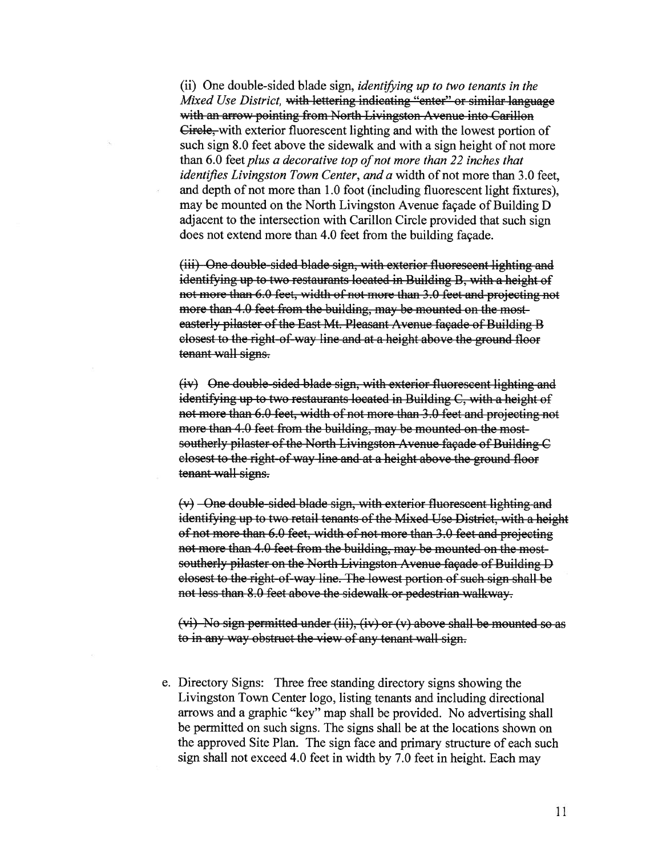(ii) One double-sided blade sign, identifying up to two tenants in the Mixed Use District, with lettering indicating "enter" or similar language with an arrow pointing from North Livingston Avenue into Carillon Circle, with exterior fluorescent lighting and with the lowest portion of such sign 8.0 feet above the sidewalk and with <sup>a</sup> sign height of not more than  $6.0$  feet plus a decorative top of not more than 22 inches that identifies Livingston Town Center, and a width of not more than 3.0 feet, and depth of not more than 1.0 foot (including fluorescent light fixtures), may be mounted on the North Livingston Avenue façade of Building D adjacent to the intersection with Carillon Circle provided that such sign does not extend more than 4.0 feet from the building façade.

(iii) One double sided blade sign, with exterior fluorescent lighting and identifying up to two restaurants located in Building B, with <sup>a</sup> height of not more than 6.0 feet, width of not more than 3.0 feet and projecting not more than 4.0 feet from the building, may be mounted on the mosteasterly pilaster of the East Mt. Pleasant Avenue façade of Building B closest to the right of way line and at <sup>a</sup> height above the ground floor tenant wall signs.

(iv) One double-sided blade sign, with exterior fluorescent lighting and identifying up to two restaurants located in Building C, with <sup>a</sup> height of not more than 6.0 feet, width of not more than 3.0 feet and projecting not more than 4.0 feet from the building, may be mounted on the mostsoutherly pilaster of the North Livingston Avenue façade of Building C closest to the right of way line and at <sup>a</sup> height above the ground floor tenant wall signs.

 $(v)$  -One double-sided blade sign, with exterior fluorescent lighting and identifying up to two retail tenants of the Mixed Use District, with a height of not more than 6.0 feet, width of not more than 3.0 feet and projecting not more than 4.0 feet from the building, may be mounted on the most southerly <sup>p</sup>ilaster on the North Livingston Avenue façade of Building <sup>D</sup> closest to the right of way line. The lowest portion of such sign shall be not less than 8.0 feet above the sidewalk or pedestrian walkway.

 $(vi)$  No sign permitted under (iii), (iv) or (v) above shall be mounted so as to in any way obstruct the view of any tenant wall sign.

e. Directory Signs: Three free standing directory signs showing the Livingston Town Center logo, listing tenants and including directional arrows and <sup>a</sup> graphic "key" map shall be provided. No advertising shall be permitted on such signs. The signs shall be at the locations shown on the approved Site Plan. The sign face and primary structure of each such sign shall not exceed 4.0 feet in width by 7.0 feet in height. Each may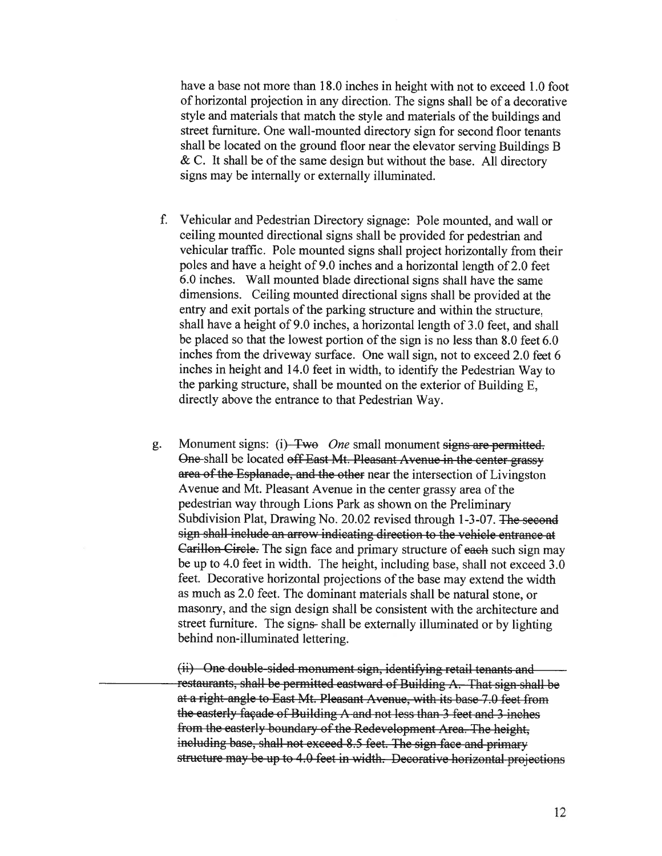have <sup>a</sup> base not more than 18.0 inches in height with not to exceed 1.0 foot of horizontal projection in any direction. The signs shall be of <sup>a</sup> decorative style and materials that match the style and materials of the buildings and street furniture. One wall-mounted directory sign for second floor tenants shall be located on the ground floor near the elevator serving Buildings <sup>B</sup>  $\&$  C. It shall be of the same design but without the base. All directory signs may be internally or externally illuminated.

- f. Vehicular and Pedestrian Directory signage: Pole mounted, and wall or ceiling mounted directional signs shall be provided for pedestrian and vehicular traffic. Pole mounted signs shall project horizontally from their poles and have <sup>a</sup> height of 9.0 inches and <sup>a</sup> horizontal length of 2.0 feet 6.0 inches. Wall mounted blade directional signs shall have the same dimensions. Ceiling mounted directional signs shall be provided at the entry and exit portals of the parking structure and within the structure, shall have <sup>a</sup> height of 9.0 inches, <sup>a</sup> horizontal length of 3.0 feet, and shall be <sup>p</sup>laced so that the lowest portion of the sign is no less than 8.0 feet 6.0 inches from the driveway surface. One wall sign, not to exceed 2.0 feet <sup>6</sup> inches in height and 14.0 feet in width, to identify the Pedestrian Way to the parking structure, shall be mounted on the exterior of Building E, directly above the entrance to that Pedestrian Way.
- g. Monument signs: (i) Two One small monument signs are permitted. One-shall be located off East Mt. Pleasant Avenue in the center grassy area of the Esplanade, and the other near the intersection of Livingston Avenue and Mt. Pleasant Avenue in the center grassy area of the pedestrian way through Lions Park as shown on the Preliminary Subdivision Plat, Drawing No. 20.02 revised through 1-3-07. The second sign shall include an arrow indicating direction to the vehicle entrance at Carillon Circle. The sign face and primary structure of eaeh such sign may be up to 4.0 feet in width. The height, including base, shall not exceed 3.0 feet. Decorative horizontal projections of the base may extend the width as much as 2.0 feet. The dominant materials shall be natural stone, or masonry, and the sign design shall be consistent with the architecture and street furniture. The signs- shall be externally illuminated or by lighting behind non-illuminated lettering.

(ii) One double sided monument sign, identifying retail tenants and restaurants, shall be permitted eastward of Building A. That sign shall be at <sup>a</sup> right angle to East Mt. Pleasant Avenue, with its base 7.0 feet from the easterly façade of Building A and not less than 3 feet and 3 inches from the easterly boundary of the Redevelopment Area. The height, including base, shall not exceed 8.5 feet. The sign face and primary structure may be up to 4.0 feet in width. Decorative horizontal projections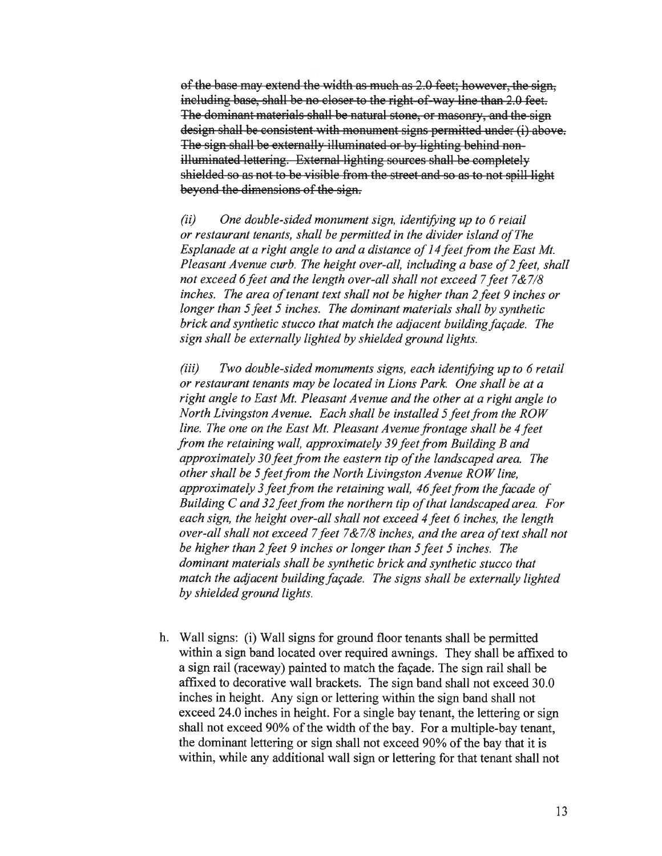of the base may extend the width as much as 2.0 feet; however, the sign, including base, shall be no closer to the right-of-way line than 2.0 feet. The dominant materials shall be natural stone, or masonry, and the sign design shall be consistent with monument signs permitted under (i) above. The sign shall be externally illuminated or by lighting behind non illuminated lettering. External lighting sources shall be completely shielded so as not to be visible from the Street and so as to not spill light beyond the dimensions of the sign.

 $(ii)$  One double-sided monument sign, identifying up to 6 retail or restaurant tenants, shall be permitted in the divider island ofThe Esplanade at a right angle to and a distance of 14 feet from the East Mt. Pleasant Avenue curb. The height over-all, including a base of 2 feet, shall not exceed 6 feet and the length over-all shall not exceed 7 feet  $7&7/8$ inches. The area of tenant text shall not be higher than 2 feet 9 inches or longer than 5 feet 5 inches. The dominant materials shall by synthetic brick and synthetic stucco that match the adjacent building façade. The sign shall be externally lighted by shielded ground lights.

 $(iii)$  Two double-sided monuments signs, each identifying up to  $6$  retail or restaurant tenants may be located in Lions Park. One shall be at <sup>a</sup> right angle to East Mt. Pleasant Avenue and the other at <sup>a</sup> right angle to North Livingston Avenue. Each shall be installed 5 feet from the ROW line. The one on the East Mt. Pleasant Avenue frontage shall be 4 feet from the retaining wall, approximately 39 feet from Building B and approximately 30 feet from the eastern tip of the landscaped area. The other shall be 5 feet from the North Livingston Avenue ROW line, approximately 3 feet from the retaining wall, 46 feet from the facade of Building  $C$  and 32 feet from the northern tip of that landscaped area. For each sign, the height over-all shall not exceed <sup>4</sup> feet <sup>6</sup> inches, the length over-all shall not exceed 7 feet  $7&7/8$  inches, and the area of text shall not be higher than 2 feet 9 inches or longer than 5 feet 5 inches. The dominant materials shall be synthetic brick and synthetic stucco that match the adjacent building façade. The signs shall be externally lighted by shielded ground lights.

h. Wall signs: (i) Wall signs for ground floor tenants shall be permitted within <sup>a</sup> sign band located over required awnings. They shall be affixed to <sup>a</sup> sign rail (raceway) painted to match the façade. The sign rail shall be affixed to decorative wall brackets. The sign band shall not exceed 30.0 inches in height. Any sign or lettering within the sign band shall not exceed 24.0 inches in height. For <sup>a</sup> single bay tenant, the lettering or sign shall not exceed 90% of the width of the bay. For <sup>a</sup> multiple-bay tenant, the dominant lettering or sign shall not exceed 90% of the bay that it is within, while any additional wall sign or lettering for that tenant shall not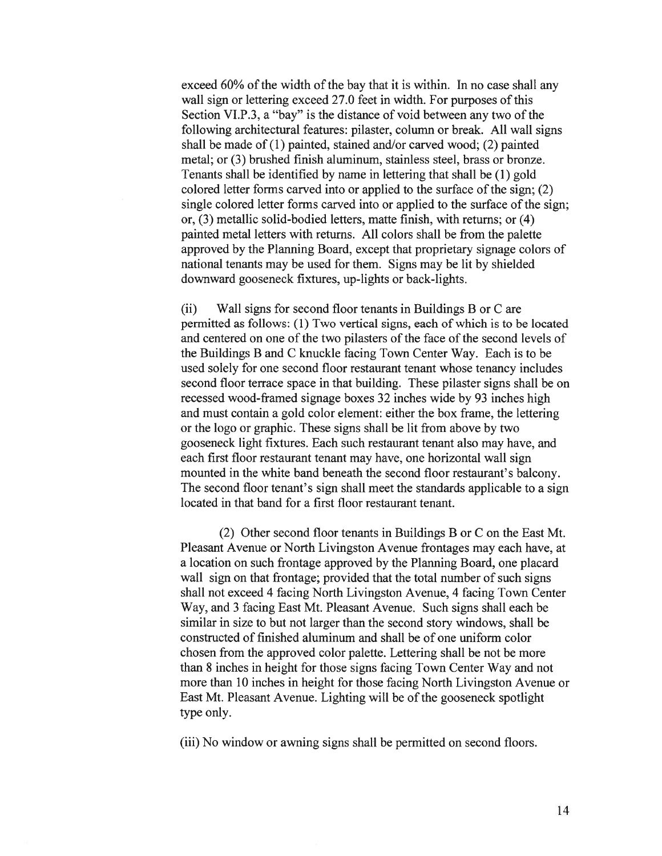exceed 60% of the width of the bay that it is within. In no case shall any wall sign or lettering exceed 27.0 feet in width. For purposes of this Section VI.P.3, <sup>a</sup> "bay" is the distance of void between any two of the following architectural features: pilaster, column or break. All wall signs shall be made of  $(1)$  painted, stained and/or carved wood;  $(2)$  painted metal; or (3) brushed finish aluminum, stainless steel, brass or bronze. Tenants shall be identified by name in lettering that shall be (1) gold colored letter forms carved into or applied to the surface of the sign; (2) single colored letter forms carved into or applied to the surface of the sign; or, (3) metallic solid-bodied letters, matte finish, with returns; or (4) painted metal letters with returns. All colors shall be from the palette approved by the Planning Board, excep<sup>t</sup> that proprietary signage colors of national tenants may be used for them. Signs may be lit by shielded downward gooseneck fixtures, up-lights or back-lights.

(ii) Wall signs for second floor tenants in Buildings B or C are permitted as follows: (1) Two vertical signs, each of which is to be located and centered on one of the two pilasters of the face of the second levels of the Buildings B and C knuckle facing Town Center Way. Each is to be used solely for one second floor restaurant tenant whose tenancy includes second floor terrace space in that building. These pilaster signs shall be on recessed wood-framed signage boxes 32 inches wide by 93 inches high and must contain <sup>a</sup> gold color element: either the box frame, the lettering or the logo or graphic. These signs shall be lit from above by two gooseneck light fixtures. Each such restaurant tenant also may have, and each first floor restaurant tenant may have, one horizontal wall sign mounted in the white band beneath the second floor restaurant's balcony. The second floor tenant's sign shall meet the standards applicable to <sup>a</sup> sign located in that band for <sup>a</sup> first floor restaurant tenant.

(2) Other second floor tenants in Buildings B or C on the East Mt. Pleasant Avenue or North Livingston Avenue frontages may each have, at <sup>a</sup> location on such frontage approved by the Planning Board, one placard wall sign on that frontage; provided that the total number of such signs shall not exceed 4 facing North Livingston Avenue, 4 facing Town Center Way, and 3 facing East Mt. Pleasant Avenue. Such signs shall each be similar in size to but not larger than the second story windows, shall be constructed of finished aluminum and shall be of one uniform color chosen from the approved color palette. Lettering shall be not be more than 8 inches in height for those signs facing Town Center Way and not more than 10 inches in height for those facing North Livingston Avenue or East Mt. Pleasant Avenue. Lighting will be of the gooseneck spotlight type only.

(iii) No window or awning signs shall be permitted on second floors.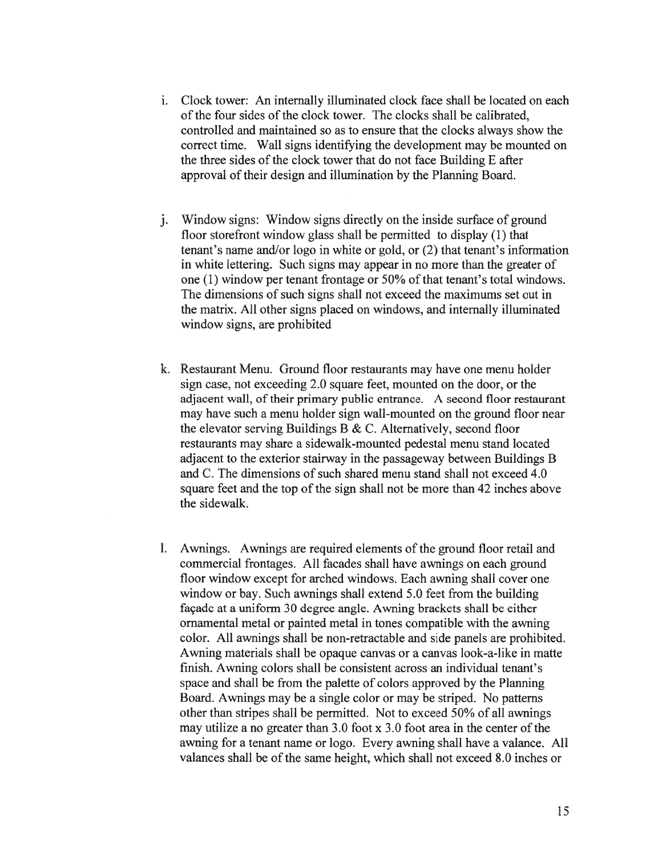- i. Clock tower: An internally illuminated clock face shall be located on each of the four sides of the clock tower. The clocks shall be calibrated, controlled and maintained so as to ensure that the clocks always show the correct time. Wall signs identifying the development may be mounted on the three sides of the clock tower that do not face Building E after approval of their design and illumination by the Planning Board.
- j. Window signs: Window signs directly on the inside surface of groun<sup>d</sup> floor storefront window glass shall be permitted to display (1) that tenant's name and/or logo in white or gold, or (2) that tenant's information in white lettering. Such signs may appear in no more than the greater of one (1) window per tenant frontage or 50% of that tenant's total windows. The dimensions of such signs shall not exceed the maximums set out in the matrix. All other signs placed on windows, and internally illuminated window signs, are prohibited
- k. Restaurant Menu. Ground floor restaurants may have one menu holder sign case, not exceeding 2.0 square feet, mounted on the door, or the adjacent wall, of their primary public entrance. A second floor restaurant may have such <sup>a</sup> menu holder sign wall-mounted on the ground floor near the elevator serving Buildings B & C. Alternatively, second floor restaurants may share <sup>a</sup> sidewalk-mounted pedestal menu stand located adjacent to the exterior stairway in the passageway between Buildings B and C. The dimensions of such shared menu stand shall not exceed 4.0 square feet and the top of the sign shall not be more than 42 inches above the sidewalk.
- 1. Awnings. Awnings are required elements of the ground floor retail and commercial frontages. All facades shall have awnings on each ground floor window excep<sup>t</sup> for arched windows. Each awning shall cover one window or bay. Such awnings shall extend 5.0 feet from the building façade at <sup>a</sup> uniform 30 degree angle. Awning brackets shall be either ornamental metal or painted metal in tones compatible with the awning color. All awnings shall be non-retractable and side panels are prohibited. Awning materials shall be opaque canvas or <sup>a</sup> canvas look-a-like in matte finish. Awning colors shall be consistent across an individual tenant's space and shall be from the palette of colors approved by the Planning Board. Awnings may be <sup>a</sup> single color or may be striped. No patterns other than stripes shall be permitted. Not to exceed 50% of all awnings may utilize <sup>a</sup> no greater than 3.0 foot <sup>x</sup> 3.0 foot area in the center of the awning for <sup>a</sup> tenant name or logo. Every awning shall have <sup>a</sup> valance. All valances shall be of the same height, which shall not exceed 8.0 inches or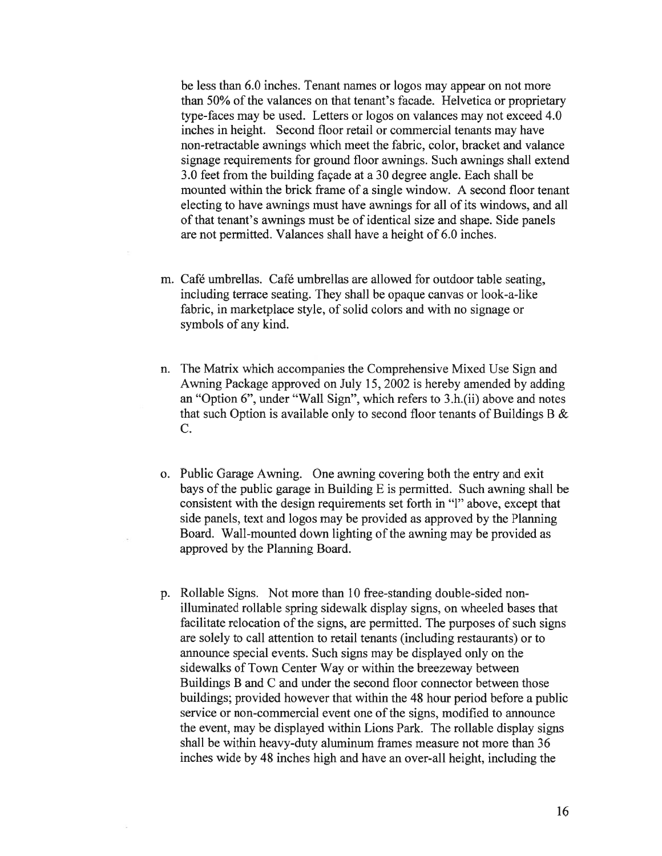be less than 6.0 inches. Tenant names or logos may appear on not more than 50% of the valances on that tenant's facade. Helvetica or proprietary type-faces may be used. Letters or logos on valances may not exceed 4.0 inches in height. Second floor retail or commercial tenants may have non-retractable awnings which meet the fabric, color, bracket and valance signage requirements for ground floor awnings. Such awnings shall extend 3.0 feet from the building façade at <sup>a</sup> 30 degree angle. Each shall be mounted within the brick frame of <sup>a</sup> single window. A second floor tenant electing to have awnings must have awnings for all of its windows, and all of that tenant's awnings must be of identical size and shape. Side panels are not permitted. Valances shall have <sup>a</sup> height of 6.0 inches.

- m. Café umbrellas. Café umbrellas are allowed for outdoor table seating, including terrace seating. They shall be opaque canvas or look-a-like fabric, in marketplace style, of solid colors and with no signage or symbols of any kind.
- n. The Matrix which accompanies the Comprehensive Mixed Use Sign and Awning Package approved on July 15, 2002 is hereby amended by adding an "Option 6", under "Wall Sign", which refers to 3.h.(ii) above and notes that such Option is available only to second floor tenants of Buildings B  $\&$ C.
- o. Public Garage Awning. One awning covering both the entry and exit bays of the public garage in Building E is permitted. Such awning shall be consistent with the design requirements set forth in "1" above, excep<sup>t</sup> that side panels, text and logos may be provided as approved by the Planning Board. Wall-mounted down lighting of the awning may be provided as approved by the Planning Board.
- p. Rollable Signs. Not more than 10 free-standing double-sided nonilluminated rollable spring sidewalk display signs, on wheeled bases that facilitate relocation of the signs, are permitted. The purposes of such signs are solely to call attention to retail tenants (including restaurants) or to announce special events. Such signs may be displayed only on the sidewalks of Town Center Way or within the breezeway between Buildings B and C and under the second floor connector between those buildings; provided however that within the 48 hour period before <sup>a</sup> public service or non-commercial event one of the signs, modified to announce the event, may be displayed within Lions Park. The rollable display signs shall be within heavy-duty aluminum frames measure not more than 36 inches wide by 48 inches high and have an over-all height, including the